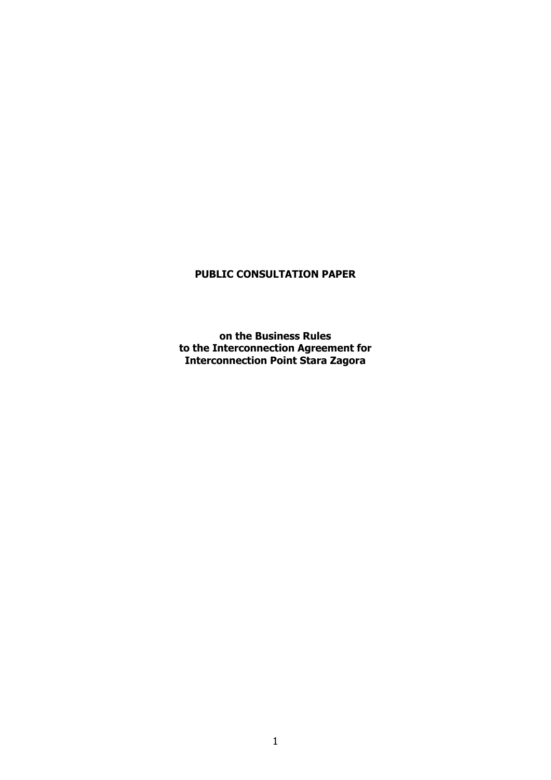# **PUBLIC CONSULTATION PAPER**

**on the Business Rules to the Interconnection Agreement for Interconnection Point Stara Zagora**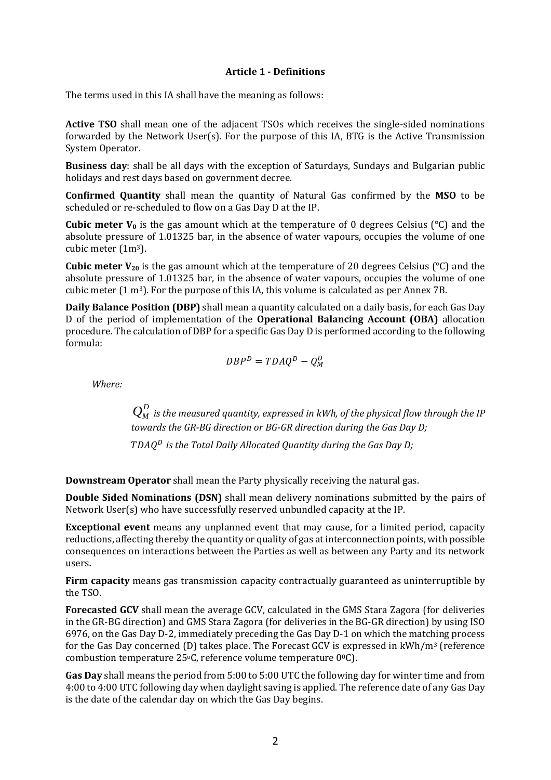### **Article 1 ‐ Definitions**

The terms used in this IA shall have the meaning as follows:

**Active TSO** shall mean one of the adjacent TSOs which receives the single-sided nominations forwarded by the Network User(s). For the purpose of this IA, BTG is the Active Transmission System Operator.

**Business day**: shall be all days with the exception of Saturdays, Sundays and Bulgarian public holidays and rest days based on government decree.

**Confirmed Quantity** shall mean the quantity of Natural Gas confirmed by the **MSO** to be scheduled or re-scheduled to flow on a Gas Day D at the IP.

**Cubic meter**  $V_0$  is the gas amount which at the temperature of 0 degrees Celsius ( $\degree$ C) and the absolute pressure of 1.01325 bar, in the absence of water vapours, occupies the volume of one cubic meter (1m3).

**Cubic meter**  $V_{20}$  is the gas amount which at the temperature of 20 degrees Celsius (°C) and the absolute pressure of 1.01325 bar, in the absence of water vapours, occupies the volume of one cubic meter  $(1 \text{ m}^3)$ . For the purpose of this IA, this volume is calculated as per Annex 7B.

**Daily Balance Position (DBP)** shall mean a quantity calculated on a daily basis, for each Gas Day D of the period of implementation of the **Operational Balancing Account (OBA)** allocation procedure. The calculation of DBP for a specific Gas Day D is performed according to the following formula:

$$
DBP^D = TDAQ^D - Q_M^D
$$

*Where:*

 $Q^D_M$  *is the measured quantity, expressed in kWh, of the physical flow through the IP towards the GR‐BG direction or BG‐GR direction during the Gas Day D;*

*is the Total Daily Allocated Quantity during the Gas Day D;*

**Downstream Operator** shall mean the Party physically receiving the natural gas.

**Double Sided Nominations (DSN)** shall mean delivery nominations submitted by the pairs of Network User(s) who have successfully reserved unbundled capacity at the IP.

**Exceptional event** means any unplanned event that may cause, for a limited period, capacity reductions, affecting thereby the quantity or quality of gas at interconnection points, with possible consequences on interactions between the Parties as well as between any Party and its network users**.**

**Firm capacity** means gas transmission capacity contractually guaranteed as uninterruptible by the TSO.

**Forecasted GCV** shall mean the average GCV, calculated in the GMS Stara Zagora (for deliveries in the GR-BG direction) and GMS Stara Zagora (for deliveries in the BG-GR direction) by using ISO 6976, on the Gas Day D-2, immediately preceding the Gas Day D-1 on which the matching process for the Gas Day concerned (D) takes place. The Forecast GCV is expressed in kWh/m3 (reference combustion temperature 25°C, reference volume temperature 0°C).

**Gas Day** shall means the period from 5:00 to 5:00 UTC the following day for winter time and from 4:00 to 4:00 UTC following day when daylight saving is applied. The reference date of any Gas Day is the date of the calendar day on which the Gas Day begins.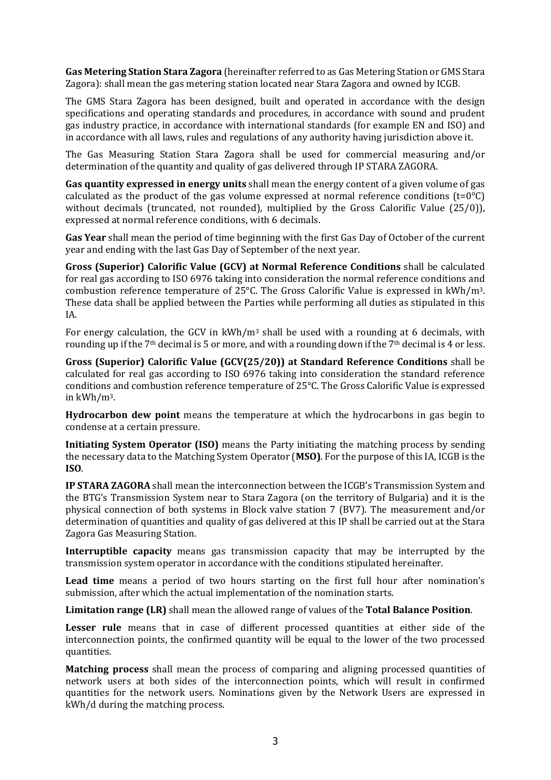**Gas Metering Station Stara Zagora** (hereinafter referred to as Gas Metering Station or GMS Stara Zagora): shall mean the gas metering station located near Stara Zagora and owned by ICGB.

The GMS Stara Zagora has been designed, built and operated in accordance with the design specifications and operating standards and procedures, in accordance with sound and prudent gas industry practice, in accordance with international standards (for example EN and ISO) and in accordance with all laws, rules and regulations of any authority having jurisdiction above it.

The Gas Measuring Station Stara Zagora shall be used for commercial measuring and/or determination of the quantity and quality of gas delivered through IP STARA ZAGORA.

**Gas quantity expressed in energy units** shall mean the energy content of a given volume of gas calculated as the product of the gas volume expressed at normal reference conditions  $(t=0^{\circ}C)$ without decimals (truncated, not rounded), multiplied by the Gross Calorific Value (25/0)), expressed at normal reference conditions, with 6 decimals.

**Gas Year** shall mean the period of time beginning with the first Gas Day of October of the current year and ending with the last Gas Day of September of the next year.

**Gross (Superior) Calorific Value (GCV) at Normal Reference Conditions** shall be calculated for real gas according to ISO 6976 taking into consideration the normal reference conditions and combustion reference temperature of 25°C. The Gross Calorific Value is expressed in kWh/m3. These data shall be applied between the Parties while performing all duties as stipulated in this IA.

For energy calculation, the GCV in  $kWh/m<sup>3</sup>$  shall be used with a rounding at 6 decimals, with rounding up if the 7<sup>th</sup> decimal is 5 or more, and with a rounding down if the 7<sup>th</sup> decimal is 4 or less.

**Gross (Superior) Calorific Value (GCV(25/20)) at Standard Reference Conditions** shall be calculated for real gas according to ISO 6976 taking into consideration the standard reference conditions and combustion reference temperature of 25°C. The Gross Calorific Value is expressed in kWh/m3.

**Hydrocarbon dew point** means the temperature at which the hydrocarbons in gas begin to condense at a certain pressure.

**Initiating System Operator (ISO)** means the Party initiating the matching process by sending the necessary data to the Matching System Operator (**MSO)**. For the purpose of this IA, ICGB is the **ISO**.

**IP STARA ZAGORA** shall mean the interconnection between the ICGB's Transmission System and the BTG's Transmission System near to Stara Zagora (on the territory of Bulgaria) and it is the physical connection of both systems in Block valve station 7 (BV7). The measurement and/or determination of quantities and quality of gas delivered at this IP shall be carried out at the Stara Zagora Gas Measuring Station.

**Interruptible capacity** means gas transmission capacity that may be interrupted by the transmission system operator in accordance with the conditions stipulated hereinafter.

**Lead time** means a period of two hours starting on the first full hour after nomination's submission, after which the actual implementation of the nomination starts.

**Limitation range (LR)** shall mean the allowed range of values of the **Total Balance Position**.

**Lesser rule** means that in case of different processed quantities at either side of the interconnection points, the confirmed quantity will be equal to the lower of the two processed quantities.

**Matching process** shall mean the process of comparing and aligning processed quantities of network users at both sides of the interconnection points, which will result in confirmed quantities for the network users. Nominations given by the Network Users are expressed in kWh/d during the matching process.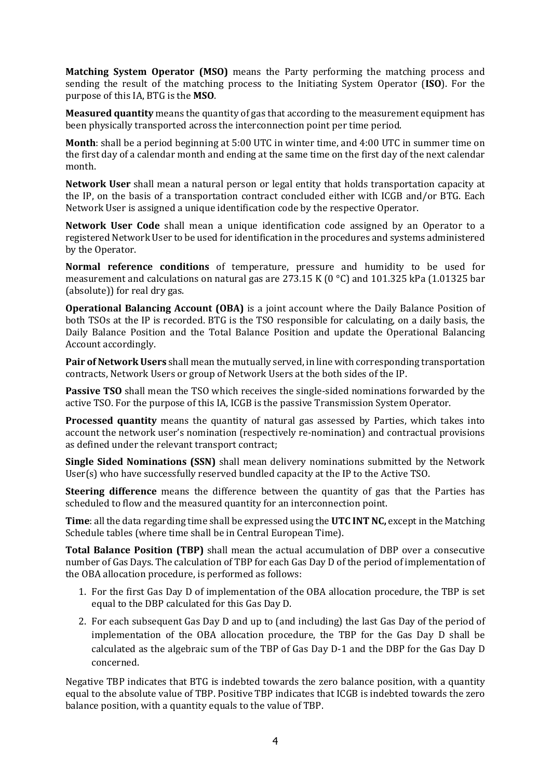**Matching System Operator (MSO)** means the Party performing the matching process and sending the result of the matching process to the Initiating System Operator (**ISO**). For the purpose of this IA, BTG is the **MSO**.

**Measured quantity** means the quantity of gas that according to the measurement equipment has been physically transported across the interconnection point per time period.

**Month**: shall be a period beginning at 5:00 UTC in winter time, and 4:00 UTC in summer time on the first day of a calendar month and ending at the same time on the first day of the next calendar month.

**Network User** shall mean a natural person or legal entity that holds transportation capacity at the IP, on the basis of a transportation contract concluded either with ICGB and/or BTG. Each Network User is assigned a unique identification code by the respective Operator.

**Network User Code** shall mean a unique identification code assigned by an Operator to a registered Network User to be used for identification in the procedures and systems administered by the Operator.

**Normal reference conditions** of temperature, pressure and humidity to be used for measurement and calculations on natural gas are 273.15 K (0 °C) and 101.325 kPa (1.01325 bar (absolute)) for real dry gas.

**Operational Balancing Account (OBA)** is a joint account where the Daily Balance Position of both TSOs at the IP is recorded. BTG is the TSO responsible for calculating, on a daily basis, the Daily Balance Position and the Total Balance Position and update the Operational Balancing Account accordingly.

**Pair of Network Users** shall mean the mutually served, in line with corresponding transportation contracts, Network Users or group of Network Users at the both sides of the IP.

**Passive TSO** shall mean the TSO which receives the single-sided nominations forwarded by the active TSO. For the purpose of this IA, ICGB is the passive Transmission System Operator.

**Processed quantity** means the quantity of natural gas assessed by Parties, which takes into account the network user's nomination (respectively re-nomination) and contractual provisions as defined under the relevant transport contract;

**Single Sided Nominations (SSN)** shall mean delivery nominations submitted by the Network User(s) who have successfully reserved bundled capacity at the IP to the Active TSO.

**Steering difference** means the difference between the quantity of gas that the Parties has scheduled to flow and the measured quantity for an interconnection point.

**Time**: all the data regarding time shall be expressed using the **UTC INT NC,** except in the Matching Schedule tables (where time shall be in Central European Time).

**Total Balance Position (TBP)** shall mean the actual accumulation of DBP over a consecutive number of Gas Days. The calculation of TBP for each Gas Day D of the period of implementation of the OBA allocation procedure, is performed as follows:

- 1. For the first Gas Day D of implementation of the OBA allocation procedure, the TBP is set equal to the DBP calculated for this Gas Day D.
- 2. For each subsequent Gas Day D and up to (and including) the last Gas Day of the period of implementation of the OBA allocation procedure, the TBP for the Gas Day D shall be calculated as the algebraic sum of the TBP of Gas Day D-1 and the DBP for the Gas Day D concerned.

Negative TBP indicates that BTG is indebted towards the zero balance position, with a quantity equal to the absolute value of TBP. Positive TBP indicates that ICGB is indebted towards the zero balance position, with a quantity equals to the value of TBP.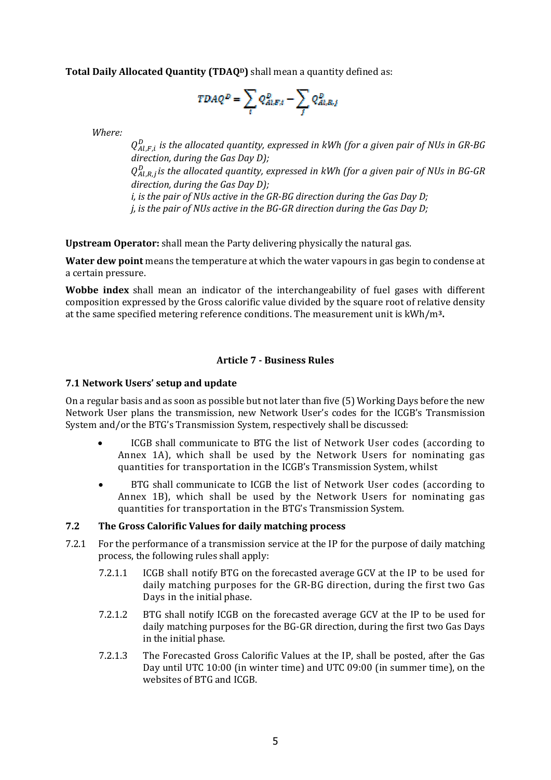**Total Daily Allocated Quantity (TDAQD)** shall mean a quantity defined as:

$$
TDAQ^D=\sum_{i}Q^D_{Ai,E;t}-\sum_{i}Q^D_{Ai,k,j}
$$

*Where:*

,ி, *is the allocated quantity, expressed in kWh (for a given pair of NUs in GR‐BG direction, during the Gas Day D);* ,ோ, *is the allocated quantity, expressed in kWh (for a given pair of NUs in BG‐GR direction, during the Gas Day D); i, is the pair of NUs active in the GR‐BG direction during the Gas Day D;*

*j, is the pair of NUs active in the BG‐GR direction during the Gas Day D;*

**Upstream Operator:** shall mean the Party delivering physically the natural gas.

**Water dew point** means the temperature at which the water vapours in gas begin to condense at a certain pressure.

**Wobbe index** shall mean an indicator of the interchangeability of fuel gases with different composition expressed by the Gross calorific value divided by the square root of relative density at the same specified metering reference conditions. The measurement unit is kWh/m**3.**

# **Article 7 ‐ Business Rules**

### **7.1 Network Users' setup and update**

On a regular basis and as soon as possible but not later than five (5) Working Days before the new Network User plans the transmission, new Network User's codes for the ICGB's Transmission System and/or the BTG's Transmission System, respectively shall be discussed:

- ICGB shall communicate to BTG the list of Network User codes (according to Annex 1A), which shall be used by the Network Users for nominating gas quantities for transportation in the ICGB's Transmission System, whilst
- BTG shall communicate to ICGB the list of Network User codes (according to Annex 1B), which shall be used by the Network Users for nominating gas quantities for transportation in the BTG's Transmission System.

### **7.2 The Gross Calorific Values for daily matching process**

- 7.2.1 For the performance of a transmission service at the IP for the purpose of daily matching process, the following rules shall apply:
	- 7.2.1.1 ICGB shall notify BTG on the forecasted average GCV at the IP to be used for daily matching purposes for the GR-BG direction, during the first two Gas Days in the initial phase.
	- 7.2.1.2 BTG shall notify ICGB on the forecasted average GCV at the IP to be used for daily matching purposes for the BG-GR direction, during the first two Gas Days in the initial phase.
	- 7.2.1.3 The Forecasted Gross Calorific Values at the IP, shall be posted, after the Gas Day until UTC 10:00 (in winter time) and UTC 09:00 (in summer time), on the websites of BTG and ICGB.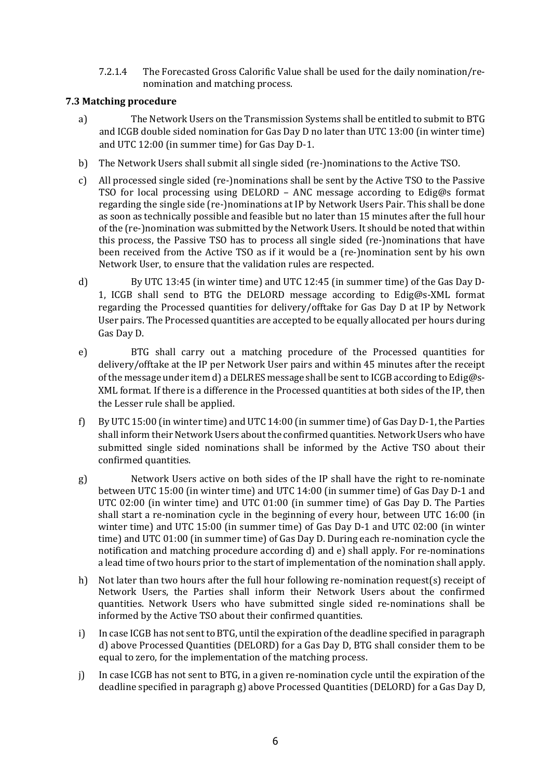7.2.1.4 The Forecasted Gross Calorific Value shall be used for the daily nomination/renomination and matching process.

# **7.3 Matching procedure**

- a) The Network Users on the Transmission Systems shall be entitled to submit to BTG and ICGB double sided nomination for Gas Day D no later than UTC 13:00 (in winter time) and UTC 12:00 (in summer time) for Gas Day D-1.
- b) The Network Users shall submit all single sided (re-)nominations to the Active TSO.
- c) All processed single sided (re-)nominations shall be sent by the Active TSO to the Passive TSO for local processing using DELORD – ANC message according to Edig@s format regarding the single side (re-)nominations at IP by Network Users Pair. This shall be done as soon as technically possible and feasible but no later than 15 minutes after the full hour of the (re-)nomination was submitted by the Network Users. It should be noted that within this process, the Passive TSO has to process all single sided (re-)nominations that have been received from the Active TSO as if it would be a (re-)nomination sent by his own Network User, to ensure that the validation rules are respected.
- d) By UTC 13:45 (in winter time) and UTC 12:45 (in summer time) of the Gas Day D-1, ICGB shall send to BTG the DELORD message according to Edig@s-XML format regarding the Processed quantities for delivery/offtake for Gas Day D at IP by Network User pairs. The Processed quantities are accepted to be equally allocated per hours during Gas Day D.
- e) BTG shall carry out a matching procedure of the Processed quantities for delivery/offtake at the IP per Network User pairs and within 45 minutes after the receipt of the message under item d) a DELRES message shall be sent to ICGB according to Edig@s-XML format. If there is a difference in the Processed quantities at both sides of the IP, then the Lesser rule shall be applied.
- f) By UTC 15:00 (in winter time) and UTC 14:00 (in summer time) of Gas Day D-1, the Parties shall inform their Network Users about the confirmed quantities. Network Users who have submitted single sided nominations shall be informed by the Active TSO about their confirmed quantities.
- g) Network Users active on both sides of the IP shall have the right to re-nominate between UTC 15:00 (in winter time) and UTC 14:00 (in summer time) of Gas Day D-1 and UTC 02:00 (in winter time) and UTC 01:00 (in summer time) of Gas Day D. The Parties shall start a re-nomination cycle in the beginning of every hour, between UTC 16:00 (in winter time) and UTC 15:00 (in summer time) of Gas Day D-1 and UTC 02:00 (in winter time) and UTC 01:00 (in summer time) of Gas Day D. During each re-nomination cycle the notification and matching procedure according d) and e) shall apply. For re-nominations a lead time of two hours prior to the start of implementation of the nomination shall apply.
- h) Not later than two hours after the full hour following re-nomination request(s) receipt of Network Users, the Parties shall inform their Network Users about the confirmed quantities. Network Users who have submitted single sided re-nominations shall be informed by the Active TSO about their confirmed quantities.
- i) In case ICGB has not sent to BTG, until the expiration of the deadline specified in paragraph d) above Processed Quantities (DELORD) for a Gas Day D, BTG shall consider them to be equal to zero, for the implementation of the matching process.
- j) In case ICGB has not sent to BTG, in a given re-nomination cycle until the expiration of the deadline specified in paragraph g) above Processed Quantities (DELORD) for a Gas Day D,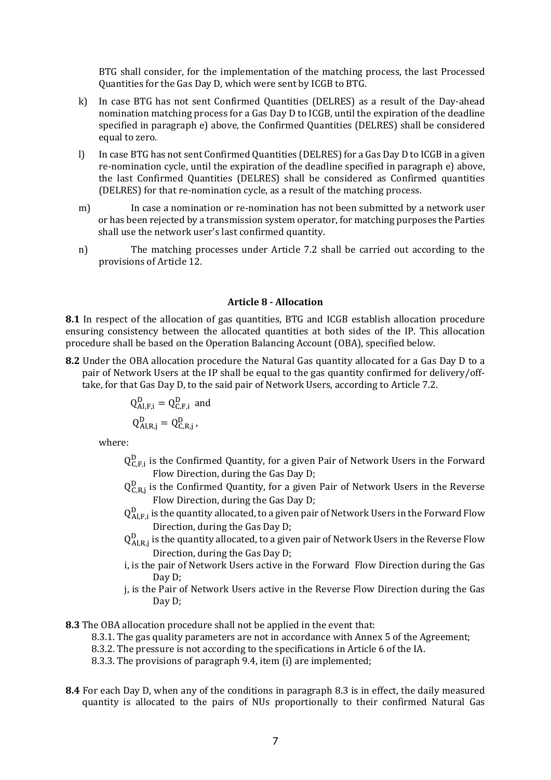BTG shall consider, for the implementation of the matching process, the last Processed Quantities for the Gas Day D, which were sent by ICGB to BTG.

- k) In case BTG has not sent Confirmed Quantities (DELRES) as a result of the Day-ahead nomination matching process for a Gas Day D to ICGB, until the expiration of the deadline specified in paragraph e) above, the Confirmed Quantities (DELRES) shall be considered equal to zero.
- l) In case BTG has not sent Confirmed Quantities (DELRES) for a Gas Day D to ICGB in a given re-nomination cycle, until the expiration of the deadline specified in paragraph e) above, the last Confirmed Quantities (DELRES) shall be considered as Confirmed quantities (DELRES) for that re-nomination cycle, as a result of the matching process.
- m) In case a nomination or re-nomination has not been submitted by a network user or has been rejected by a transmission system operator, for matching purposes the Parties shall use the network user's last confirmed quantity.
- n) The matching processes under Article 7.2 shall be carried out according to the provisions of Article 12.

#### **Article 8 ‐ Allocation**

**8.1** In respect of the allocation of gas quantities, BTG and ICGB establish allocation procedure ensuring consistency between the allocated quantities at both sides of the IP. This allocation procedure shall be based on the Operation Balancing Account (OBA), specified below.

**8.2** Under the OBA allocation procedure the Natural Gas quantity allocated for a Gas Day D to a pair of Network Users at the IP shall be equal to the gas quantity confirmed for delivery/offtake, for that Gas Day D, to the said pair of Network Users, according to Article 7.2.

$$
Q_{\text{Al},\text{F},i}^{\text{D}} = Q_{\text{C},\text{F},i}^{\text{D}} \text{ and}
$$

$$
Q_{\text{Al},\text{R},j}^{\text{D}} = Q_{\text{C},\text{R},j}^{\text{D}},
$$

where:

- $Q_{C,F,i}^D$  is the Confirmed Quantity, for a given Pair of Network Users in the Forward Flow Direction, during the Gas Day D;
- $Q_{C,R,j}^D$  is the Confirmed Quantity, for a given Pair of Network Users in the Reverse Flow Direction, during the Gas Day D;
- $Q^D_{\text{Al,F,i}}$  is the quantity allocated, to a given pair of Network Users in the Forward Flow Direction, during the Gas Day D;
- $Q^D_{\text{Al,R},j}$  is the quantity allocated, to a given pair of Network Users in the Reverse Flow Direction, during the Gas Day D;
- i, is the pair of Network Users active in the Forward Flow Direction during the Gas Day D:
- j, is the Pair of Network Users active in the Reverse Flow Direction during the Gas Day D;

**8.3** The OBA allocation procedure shall not be applied in the event that:

- 8.3.1. The gas quality parameters are not in accordance with Annex 5 of the Agreement;
- 8.3.2. The pressure is not according to the specifications in Article 6 of the IA.
- 8.3.3. The provisions of paragraph 9.4, item (i) are implemented;
- **8.4** For each Day D, when any of the conditions in paragraph 8.3 is in effect, the daily measured quantity is allocated to the pairs of NUs proportionally to their confirmed Natural Gas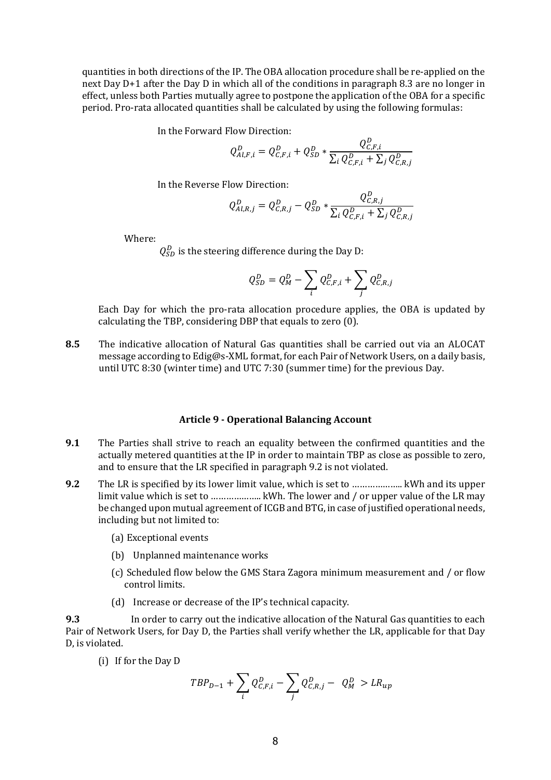quantities in both directions of the IP. The OBA allocation procedure shall be re-applied on the next Day D+1 after the Day D in which all of the conditions in paragraph 8.3 are no longer in effect, unless both Parties mutually agree to postpone the application of the OBA for a specific period. Pro-rata allocated quantities shall be calculated by using the following formulas:

In the Forward Flow Direction:

$$
Q_{Al,F,i}^D = Q_{C,F,i}^D + Q_{SD}^D * \frac{Q_{C,F,i}^D}{\sum_i Q_{C,F,i}^D + \sum_j Q_{C,R,j}^D}
$$

In the Reverse Flow Direction:

$$
Q_{Al,R,j}^D = Q_{C,R,j}^D - Q_{SD}^D * \frac{Q_{C,R,j}^D}{\sum_i Q_{C,F,i}^D + \sum_j Q_{C,R,j}^D}
$$

 $\sim$  D

Where:

 $Q_{SD}^D$  is the steering difference during the Day D:

$$
Q_{SD}^D = Q_M^D - \sum_i Q_{C,F,i}^D + \sum_j Q_{C,R,j}^D
$$

Each Day for which the pro-rata allocation procedure applies, the OBA is updated by calculating the TBP, considering DBP that equals to zero (0).

**8.5** The indicative allocation of Natural Gas quantities shall be carried out via an ALOCAT message according to Edig@s-XML format, for each Pair of Network Users, on a daily basis, until UTC 8:30 (winter time) and UTC 7:30 (summer time) for the previous Day.

#### **Article 9 ‐ Operational Balancing Account**

- **9.1** The Parties shall strive to reach an equality between the confirmed quantities and the actually metered quantities at the IP in order to maintain TBP as close as possible to zero, and to ensure that the LR specified in paragraph 9.2 is not violated.
- **9.2** The LR is specified by its lower limit value, which is set to ……………….. kWh and its upper limit value which is set to ……………….. kWh. The lower and / or upper value of the LR may be changed upon mutual agreement of ICGB and BTG, in case of justified operational needs, including but not limited to:
	- (a) Exceptional events
	- (b) Unplanned maintenance works
	- (c) Scheduled flow below the GMS Stara Zagora minimum measurement and / or flow control limits.
	- (d) Increase or decrease of the IP's technical capacity.

**9.3** In order to carry out the indicative allocation of the Natural Gas quantities to each Pair of Network Users, for Day D, the Parties shall verify whether the LR, applicable for that Day D, is violated.

(i) If for the Day D

$$
TBP_{D-1} + \sum_{i} Q_{C,F,i}^D - \sum_{j} Q_{C,R,j}^D - Q_M^D > LR_{up}
$$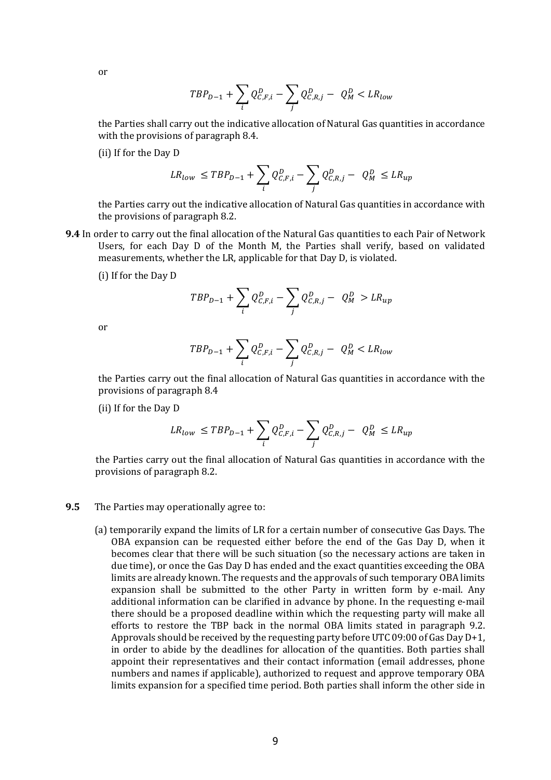or

$$
TBP_{D-1} + \sum_{i} Q_{C,F,i}^{D} - \sum_{j} Q_{C,R,j}^{D} - Q_{M}^{D} < LR_{low}
$$

the Parties shall carry out the indicative allocation of Natural Gas quantities in accordance with the provisions of paragraph 8.4.

(ii) If for the Day D

$$
LR_{low} \leq TBP_{D-1} + \sum_{i} Q_{C,F,i}^{D} - \sum_{j} Q_{C,R,j}^{D} - Q_{M}^{D} \leq LR_{up}
$$

the Parties carry out the indicative allocation of Natural Gas quantities in accordance with the provisions of paragraph 8.2.

**9.4** In order to carry out the final allocation of the Natural Gas quantities to each Pair of Network Users, for each Day D of the Month M, the Parties shall verify, based on validated measurements, whether the LR, applicable for that Day D, is violated.

(i) If for the Day D

$$
TBP_{D-1} + \sum_{i} Q_{C,F,i}^{D} - \sum_{j} Q_{C,R,j}^{D} - Q_{M}^{D} > LR_{up}
$$

or

$$
TBP_{D-1} + \sum_{i} Q_{C,F,i}^{D} - \sum_{j} Q_{C,R,j}^{D} - Q_{M}^{D} < LR_{low}
$$

the Parties carry out the final allocation of Natural Gas quantities in accordance with the provisions of paragraph 8.4

(ii) If for the Day D

$$
LR_{low} \leq TBP_{D-1} + \sum_{i} Q_{C,F,i}^{D} - \sum_{j} Q_{C,R,j}^{D} - Q_{M}^{D} \leq LR_{up}
$$

the Parties carry out the final allocation of Natural Gas quantities in accordance with the provisions of paragraph 8.2.

#### **9.5** The Parties may operationally agree to:

(a) temporarily expand the limits of LR for a certain number of consecutive Gas Days. The OBA expansion can be requested either before the end of the Gas Day D, when it becomes clear that there will be such situation (so the necessary actions are taken in due time), or once the Gas Day D has ended and the exact quantities exceeding the OBA limits are already known. The requests and the approvals of such temporary OBA limits expansion shall be submitted to the other Party in written form by e-mail. Any additional information can be clarified in advance by phone. In the requesting e-mail there should be a proposed deadline within which the requesting party will make all efforts to restore the TBP back in the normal OBA limits stated in paragraph 9.2. Approvals should be received by the requesting party before UTC 09:00 of Gas Day D+1, in order to abide by the deadlines for allocation of the quantities. Both parties shall appoint their representatives and their contact information (email addresses, phone numbers and names if applicable), authorized to request and approve temporary OBA limits expansion for a specified time period. Both parties shall inform the other side in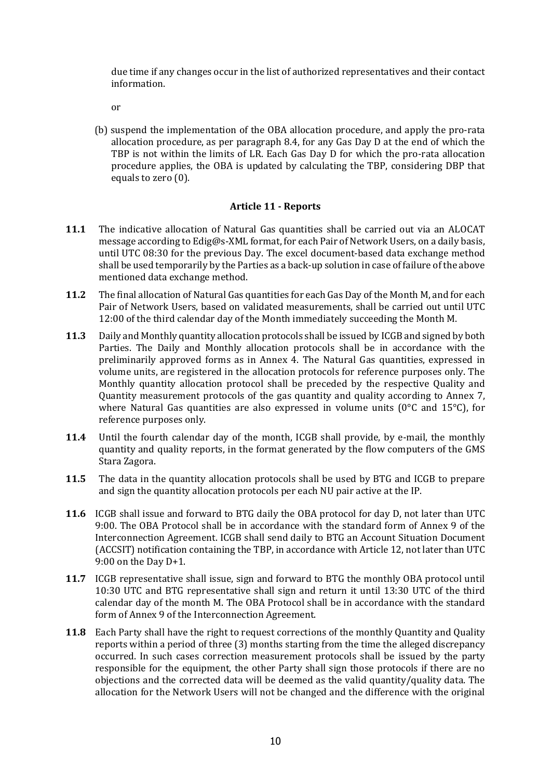due time if any changes occur in the list of authorized representatives and their contact information.

оr

(b) suspend the implementation of the OBA allocation procedure, and apply the pro-rata allocation procedure, as per paragraph 8.4, for any Gas Day D at the end of which the TBP is not within the limits of LR. Each Gas Day D for which the pro-rata allocation procedure applies, the OBA is updated by calculating the TBP, considering DBP that equals to zero (0).

# **Article 11 ‐ Reports**

- **11.1** The indicative allocation of Natural Gas quantities shall be carried out via an ALOCAT message according to Edig@s-XML format, for each Pair of Network Users, on a daily basis, until UTC 08:30 for the previous Day. The excel document-based data exchange method shall be used temporarily by the Parties as a back-up solution in case of failure of the above mentioned data exchange method.
- **11.2** The final allocation of Natural Gas quantities for each Gas Day of the Month M, and for each Pair of Network Users, based on validated measurements, shall be carried out until UTC 12:00 of the third calendar day of the Month immediately succeeding the Month M.
- **11.3** Daily and Monthly quantity allocation protocols shall be issued by ICGB and signed by both Parties. The Daily and Monthly allocation protocols shall be in accordance with the preliminarily approved forms as in Annex 4. The Natural Gas quantities, expressed in volume units, are registered in the allocation protocols for reference purposes only. The Monthly quantity allocation protocol shall be preceded by the respective Quality and Quantity measurement protocols of the gas quantity and quality according to Annex 7, where Natural Gas quantities are also expressed in volume units ( $0^{\circ}$ C and  $15^{\circ}$ C), for reference purposes only.
- **11.4** Until the fourth calendar day of the month, ICGB shall provide, by e-mail, the monthly quantity and quality reports, in the format generated by the flow computers of the GMS Stara Zagora.
- **11.5** The data in the quantity allocation protocols shall be used by BTG and ICGB to prepare and sign the quantity allocation protocols per each NU pair active at the IP.
- **11.6** ICGB shall issue and forward to BTG daily the OBA protocol for day D, not later than UTC 9:00. The ΟΒΑ Protocol shall be in accordance with the standard form of Annex 9 of the Interconnection Agreement. ICGB shall send daily to BTG an Account Situation Document (ACCSIT) notification containing the TBP, in accordance with Article 12, not later than UTC 9:00 on the Day D+1.
- **11.7** ICGB representative shall issue, sign and forward to BTG the monthly OBA protocol until 10:30 UTC and BTG representative shall sign and return it until 13:30 UTC of the third calendar day of the month M. The ΟΒΑ Protocol shall be in accordance with the standard form of Annex 9 of the Interconnection Agreement.
- **11.8** Each Party shall have the right to request corrections of the monthly Quantity and Quality reports within a period of three (3) months starting from the time the alleged discrepancy occurred. In such cases correction measurement protocols shall be issued by the party responsible for the equipment, the other Party shall sign those protocols if there are no objections and the corrected data will be deemed as the valid quantity/quality data. The allocation for the Network Users will not be changed and the difference with the original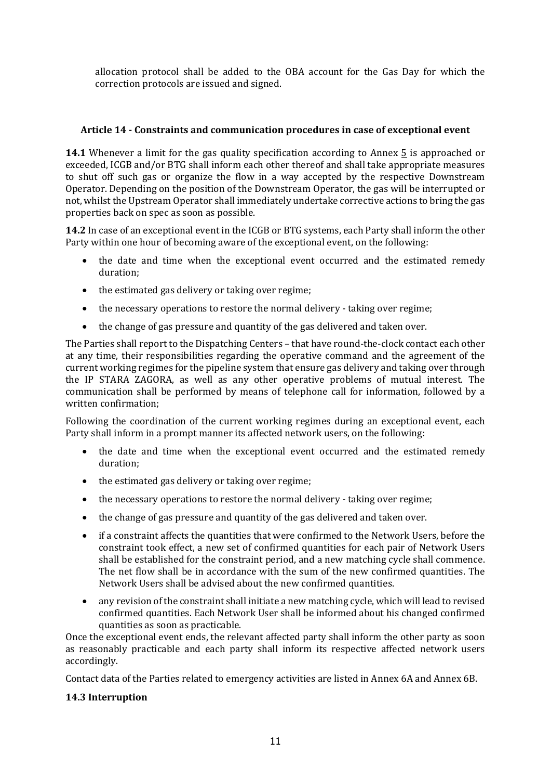allocation protocol shall be added to the OBA account for the Gas Day for which the correction protocols are issued and signed.

# **Article 14 ‐ Constraints and communication procedures in case of exceptional event**

**14.1** Whenever a limit for the gas quality specification according to Annex 5 is approached or exceeded, ICGB and/or BTG shall inform each other thereof and shall take appropriate measures to shut off such gas or organize the flow in a way accepted by the respective Downstream Operator. Depending on the position of the Downstream Operator, the gas will be interrupted or not, whilst the Upstream Operator shall immediately undertake corrective actions to bring the gas properties back on spec as soon as possible.

**14.2** In case of an exceptional event in the ICGB or BTG systems, each Party shall inform the other Party within one hour of becoming aware of the exceptional event, on the following:

- the date and time when the exceptional event occurred and the estimated remedy duration;
- $\bullet$  the estimated gas delivery or taking over regime;
- the necessary operations to restore the normal delivery taking over regime;
- the change of gas pressure and quantity of the gas delivered and taken over.

The Parties shall report to the Dispatching Centers – that have round-the-clock contact each other at any time, their responsibilities regarding the operative command and the agreement of the current working regimes for the pipeline system that ensure gas delivery and taking over through the IP STARA ZAGORA, as well as any other operative problems of mutual interest. The communication shall be performed by means of telephone call for information, followed by a written confirmation;

Following the coordination of the current working regimes during an exceptional event, each Party shall inform in a prompt manner its affected network users, on the following:

- the date and time when the exceptional event occurred and the estimated remedy duration;
- the estimated gas delivery or taking over regime;
- the necessary operations to restore the normal delivery taking over regime;
- the change of gas pressure and quantity of the gas delivered and taken over.
- if a constraint affects the quantities that were confirmed to the Network Users, before the constraint took effect, a new set of confirmed quantities for each pair of Network Users shall be established for the constraint period, and a new matching cycle shall commence. The net flow shall be in accordance with the sum of the new confirmed quantities. The Network Users shall be advised about the new confirmed quantities.
- any revision of the constraint shall initiate a new matching cycle, which will lead to revised confirmed quantities. Each Network User shall be informed about his changed confirmed quantities as soon as practicable.

Once the exceptional event ends, the relevant affected party shall inform the other party as soon as reasonably practicable and each party shall inform its respective affected network users accordingly.

Contact data of the Parties related to emergency activities are listed in Annex 6A and Annex 6B.

### **14.3 Interruption**